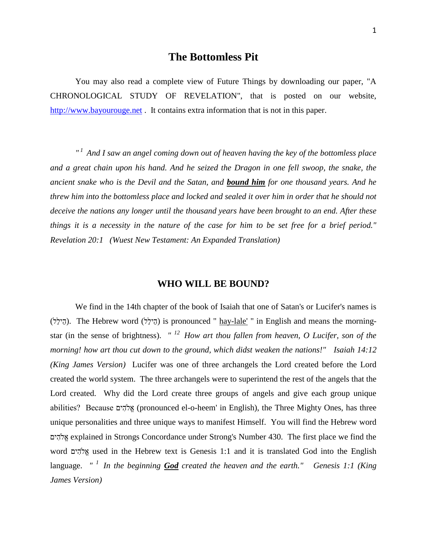# **The Bottomless Pit**

You may also read a complete view of Future Things by downloading our paper, "A CHRONOLOGICAL STUDY OF REVELATION", that is posted on our website, [http://www.bayourouge.net](http://www.bayourouge.net/) . It contains extra information that is not in this paper.

*" <sup>1</sup>And I saw an angel coming down out of heaven having the key of the bottomless place and a great chain upon his hand. And he seized the Dragon in one fell swoop, the snake, the ancient snake who is the Devil and the Satan, and bound him for one thousand years. And he threw him into the bottomless place and locked and sealed it over him in order that he should not deceive the nations any longer until the thousand years have been brought to an end. After these things it is a necessity in the nature of the case for him to be set free for a brief period." Revelation 20:1 (Wuest New Testament: An Expanded Translation)*

## **WHO WILL BE BOUND?**

We find in the 14th chapter of the book of Isaiah that one of Satan's or Lucifer's names is (הֵילֵל). The Hebrew word (הֵילֵל) is pronounced " [hay-lale'](http://www.crossbooks.com/book.asp?pub=0&book=58&wave=H1966) " in English and means the morningstar (in the sense of brightness). *" <sup>12</sup>How art thou fallen from heaven, O Lucifer, son of the morning! how art thou cut down to the ground, which didst weaken the nations!" Isaiah 14:12 (King James Version)* Lucifer was one of three archangels the Lord created before the Lord created the world system. The three archangels were to superintend the rest of the angels that the Lord created. Why did the Lord create three groups of angels and give each group unique (pronounced el-o-heem' in English), the Three Mighty Ones, has three unique personalities and three unique ways to manifest Himself. You will find the Hebrew word explained in Strongs Concordance under Strong's Number 430. The first place we find the word used in the Hebrew text is Genesis 1:1 and it is translated God into the English language. *" <sup>1</sup>In the beginning God created the heaven and the earth." Genesis 1:1 (King James Version)*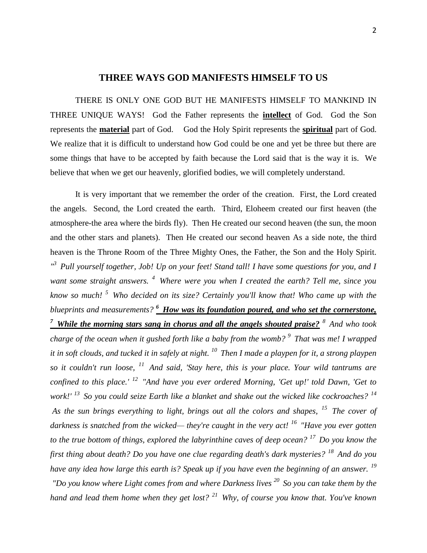## **THREE WAYS GOD MANIFESTS HIMSELF TO US**

THERE IS ONLY ONE GOD BUT HE MANIFESTS HIMSELF TO MANKIND IN THREE UNIQUE WAYS! God the Father represents the **intellect** of God. God the Son represents the **material** part of God. God the Holy Spirit represents the **spiritual** part of God. We realize that it is difficult to understand how God could be one and yet be three but there are some things that have to be accepted by faith because the Lord said that is the way it is. We believe that when we get our heavenly, glorified bodies, we will completely understand.

It is very important that we remember the order of the creation. First, the Lord created the angels. Second, the Lord created the earth. Third, Eloheem created our first heaven (the atmosphere-the area where the birds fly). Then He created our second heaven (the sun, the moon and the other stars and planets). Then He created our second heaven As a side note, the third heaven is the Throne Room of the Three Mighty Ones, the Father, the Son and the Holy Spirit. *" <sup>3</sup>Pull yourself together, Job! Up on your feet! Stand tall! I have some questions for you, and I want some straight answers. <sup>4</sup>Where were you when I created the earth? Tell me, since you know so much! <sup>5</sup>Who decided on its size? Certainly you'll know that! Who came up with the blueprints and measurements? <sup>6</sup>How was its foundation poured, and who set the cornerstone, <sup>7</sup>While the morning stars sang in chorus and all the angels shouted praise? <sup>8</sup>And who took charge of the ocean when it gushed forth like a baby from the womb? <sup>9</sup>That was me! I wrapped it in soft clouds, and tucked it in safely at night. <sup>10</sup>Then I made a playpen for it, a strong playpen so it couldn't run loose, <sup>11</sup>And said, 'Stay here, this is your place. Your wild tantrums are confined to this place.' <sup>12</sup>"And have you ever ordered Morning, 'Get up!' told Dawn, 'Get to work!' <sup>13</sup>So you could seize Earth like a blanket and shake out the wicked like cockroaches? <sup>14</sup> As the sun brings everything to light, brings out all the colors and shapes, <sup>15</sup>The cover of darkness is snatched from the wicked— they're caught in the very act! <sup>16</sup>"Have you ever gotten to the true bottom of things, explored the labyrinthine caves of deep ocean? <sup>17</sup>Do you know the first thing about death? Do you have one clue regarding death's dark mysteries? <sup>18</sup>And do you have any idea how large this earth is? Speak up if you have even the beginning of an answer. <sup>19</sup> "Do you know where Light comes from and where Darkness lives <sup>20</sup>So you can take them by the hand and lead them home when they get lost? <sup>21</sup>Why, of course you know that. You've known*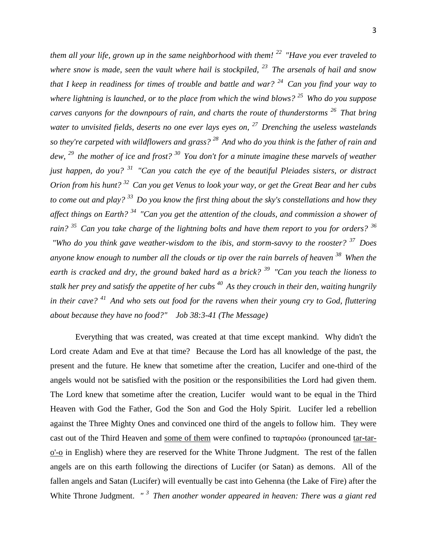*them all your life, grown up in the same neighborhood with them! <sup>22</sup>"Have you ever traveled to where snow is made, seen the vault where hail is stockpiled, <sup>23</sup>The arsenals of hail and snow that I keep in readiness for times of trouble and battle and war? <sup>24</sup>Can you find your way to where lightning is launched, or to the place from which the wind blows? <sup>25</sup>Who do you suppose carves canyons for the downpours of rain, and charts the route of thunderstorms <sup>26</sup>That bring water to unvisited fields, deserts no one ever lays eyes on, <sup>27</sup>Drenching the useless wastelands so they're carpeted with wildflowers and grass? <sup>28</sup>And who do you think is the father of rain and dew, <sup>29</sup>the mother of ice and frost? <sup>30</sup>You don't for a minute imagine these marvels of weather just happen, do you? <sup>31</sup>"Can you catch the eye of the beautiful Pleiades sisters, or distract Orion from his hunt? <sup>32</sup>Can you get Venus to look your way, or get the Great Bear and her cubs to come out and play? <sup>33</sup>Do you know the first thing about the sky's constellations and how they affect things on Earth? <sup>34</sup>"Can you get the attention of the clouds, and commission a shower of rain? <sup>35</sup>Can you take charge of the lightning bolts and have them report to you for orders? <sup>36</sup> "Who do you think gave weather-wisdom to the ibis, and storm-savvy to the rooster? <sup>37</sup>Does* 

*anyone know enough to number all the clouds or tip over the rain barrels of heaven <sup>38</sup>When the earth is cracked and dry, the ground baked hard as a brick? <sup>39</sup>"Can you teach the lioness to stalk her prey and satisfy the appetite of her cubs <sup>40</sup>As they crouch in their den, waiting hungrily in their cave? <sup>41</sup>And who sets out food for the ravens when their young cry to God, fluttering about because they have no food?" Job 38:3-41 (The Message)*

Everything that was created, was created at that time except mankind. Why didn't the Lord create Adam and Eve at that time? Because the Lord has all knowledge of the past, the present and the future. He knew that sometime after the creation, Lucifer and one-third of the angels would not be satisfied with the position or the responsibilities the Lord had given them. The Lord knew that sometime after the creation, Lucifer would want to be equal in the Third Heaven with God the Father, God the Son and God the Holy Spirit. Lucifer led a rebellion against the Three Mighty Ones and convinced one third of the angels to follow him. They were cast out of the Third Heaven and some of them were confined to  $\tau \alpha \rho \tau \alpha \rho \delta \omega$  (pronounced [tar-tar](http://www.crossbooks.com/book.asp?pub=0&book=58&wave=G5020)[o'-o](http://www.crossbooks.com/book.asp?pub=0&book=58&wave=G5020) in English) where they are reserved for the White Throne Judgment. The rest of the fallen angels are on this earth following the directions of Lucifer (or Satan) as demons. All of the fallen angels and Satan (Lucifer) will eventually be cast into Gehenna (the Lake of Fire) after the White Throne Judgment. *" <sup>3</sup>Then another wonder appeared in heaven: There was a giant red*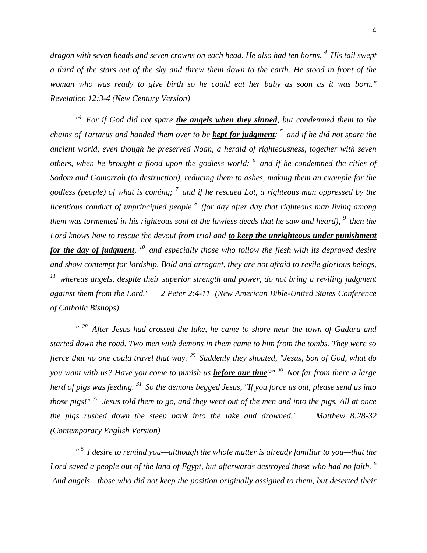4

*dragon with seven heads and seven crowns on each head. He also had ten horns. <sup>4</sup>His tail swept a third of the stars out of the sky and threw them down to the earth. He stood in front of the woman who was ready to give birth so he could eat her baby as soon as it was born." Revelation 12:3-4 (New Century Version)*

*" <sup>4</sup>For if God did not spare the angels when they sinned, but condemned them to the chains of Tartarus and handed them over to be kept for judgment; <sup>5</sup>and if he did not spare the ancient world, even though he preserved Noah, a herald of righteousness, together with seven others, when he brought a flood upon the godless world; <sup>6</sup>and if he condemned the cities of Sodom and Gomorrah (to destruction), reducing them to ashes, making them an example for the godless (people) of what is coming; <sup>7</sup>and if he rescued Lot, a righteous man oppressed by the licentious conduct of unprincipled people <sup>8</sup>(for day after day that righteous man living among them was tormented in his righteous soul at the lawless deeds that he saw and heard), <sup>9</sup>then the Lord knows how to rescue the devout from trial and to keep the unrighteous under punishment for the day of judgment,* <sup>10</sup> and especially those who follow the flesh with its depraved desire *and show contempt for lordship. Bold and arrogant, they are not afraid to revile glorious beings, <sup>11</sup>whereas angels, despite their superior strength and power, do not bring a reviling judgment against them from the Lord." 2 Peter 2:4-11 (New American Bible-United States Conference of Catholic Bishops)* 

*" <sup>28</sup>After Jesus had crossed the lake, he came to shore near the town of Gadara and started down the road. Two men with demons in them came to him from the tombs. They were so fierce that no one could travel that way. <sup>29</sup>Suddenly they shouted, "Jesus, Son of God, what do you want with us? Have you come to punish us before our time?" <sup>30</sup>Not far from there a large herd of pigs was feeding. <sup>31</sup>So the demons begged Jesus, "If you force us out, please send us into those pigs!" <sup>32</sup>Jesus told them to go, and they went out of the men and into the pigs. All at once the pigs rushed down the steep bank into the lake and drowned." Matthew 8:28-32 (Contemporary English Version)*

*" <sup>5</sup>I desire to remind you—although the whole matter is already familiar to you—that the Lord saved a people out of the land of Egypt, but afterwards destroyed those who had no faith. <sup>6</sup> And angels—those who did not keep the position originally assigned to them, but deserted their*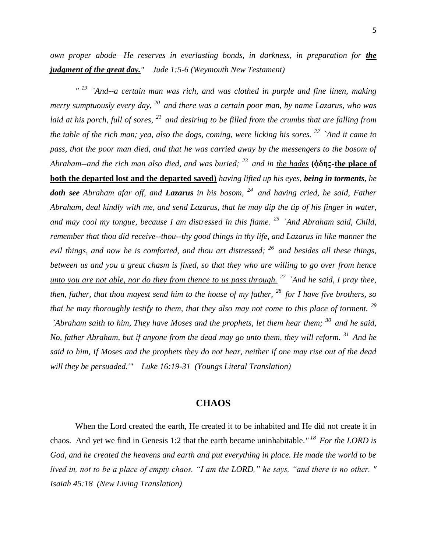*own proper abode—He reserves in everlasting bonds, in darkness, in preparation for the judgment of the great day." Jude 1:5-6 (Weymouth New Testament)*

*" <sup>19</sup>`And--a certain man was rich, and was clothed in purple and fine linen, making merry sumptuously every day, <sup>20</sup>and there was a certain poor man, by name Lazarus, who was laid at his porch, full of sores, <sup>21</sup>and desiring to be filled from the crumbs that are falling from the table of the rich man; yea, also the dogs, coming, were licking his sores. <sup>22</sup>`And it came to pass, that the poor man died, and that he was carried away by the messengers to the bosom of Abraham--and the rich man also died, and was buried;* <sup>23</sup> *and in the hades*  $(\dot{\phi} \delta \eta \zeta - \delta \dot{\phi})$  **has both the departed lost and the departed saved)** *having lifted up his eyes, being in torments, he doth see Abraham afar off, and Lazarus in his bosom, <sup>24</sup>and having cried, he said, Father Abraham, deal kindly with me, and send Lazarus, that he may dip the tip of his finger in water, and may cool my tongue, because I am distressed in this flame. <sup>25</sup>`And Abraham said, Child, remember that thou did receive--thou--thy good things in thy life, and Lazarus in like manner the evil things, and now he is comforted, and thou art distressed; <sup>26</sup>and besides all these things, between us and you a great chasm is fixed, so that they who are willing to go over from hence unto you are not able, nor do they from thence to us pass through. <sup>27</sup>`And he said, I pray thee, then, father, that thou mayest send him to the house of my father, <sup>28</sup>for I have five brothers, so that he may thoroughly testify to them, that they also may not come to this place of torment. <sup>29</sup> `Abraham saith to him, They have Moses and the prophets, let them hear them; <sup>30</sup> and he said, No, father Abraham, but if anyone from the dead may go unto them, they will reform. <sup>31</sup>And he said to him, If Moses and the prophets they do not hear, neither if one may rise out of the dead will they be persuaded.'" Luke 16:19-31 (Youngs Literal Translation)* 

### **CHAOS**

When the Lord created the earth, He created it to be inhabited and He did not create it in chaos. And yet we find in Genesis 1:2 that the earth became uninhabitable.*" <sup>18</sup>For the LORD is God, and he created the heavens and earth and put everything in place. He made the world to be lived in, not to be a place of empty chaos. "I am the LORD," he says, "and there is no other. " Isaiah 45:18 (New Living Translation)*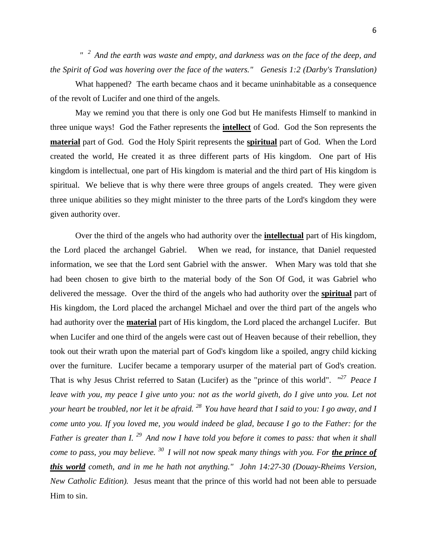*" <sup>2</sup>And the earth was waste and empty, and darkness was on the face of the deep, and the Spirit of God was hovering over the face of the waters." Genesis 1:2 (Darby's Translation)* 

What happened? The earth became chaos and it became uninhabitable as a consequence of the revolt of Lucifer and one third of the angels.

May we remind you that there is only one God but He manifests Himself to mankind in three unique ways! God the Father represents the **intellect** of God. God the Son represents the **material** part of God. God the Holy Spirit represents the **spiritual** part of God. When the Lord created the world, He created it as three different parts of His kingdom. One part of His kingdom is intellectual, one part of His kingdom is material and the third part of His kingdom is spiritual. We believe that is why there were three groups of angels created. They were given three unique abilities so they might minister to the three parts of the Lord's kingdom they were given authority over.

Over the third of the angels who had authority over the **intellectual** part of His kingdom, the Lord placed the archangel Gabriel. When we read, for instance, that Daniel requested information, we see that the Lord sent Gabriel with the answer. When Mary was told that she had been chosen to give birth to the material body of the Son Of God, it was Gabriel who delivered the message. Over the third of the angels who had authority over the **spiritual** part of His kingdom, the Lord placed the archangel Michael and over the third part of the angels who had authority over the **material** part of His kingdom, the Lord placed the archangel Lucifer. But when Lucifer and one third of the angels were cast out of Heaven because of their rebellion, they took out their wrath upon the material part of God's kingdom like a spoiled, angry child kicking over the furniture. Lucifer became a temporary usurper of the material part of God's creation. That is why Jesus Christ referred to Satan (Lucifer) as the "prince of this world". *" <sup>27</sup>Peace I leave with you, my peace I give unto you: not as the world giveth, do I give unto you. Let not your heart be troubled, nor let it be afraid. <sup>28</sup>You have heard that I said to you: I go away, and I come unto you. If you loved me, you would indeed be glad, because I go to the Father: for the Father is greater than I. <sup>29</sup>And now I have told you before it comes to pass: that when it shall come to pass, you may believe. <sup>30</sup>I will not now speak many things with you. For the prince of this world cometh, and in me he hath not anything." John 14:27-30 (Douay-Rheims Version, New Catholic Edition).* Jesus meant that the prince of this world had not been able to persuade Him to sin.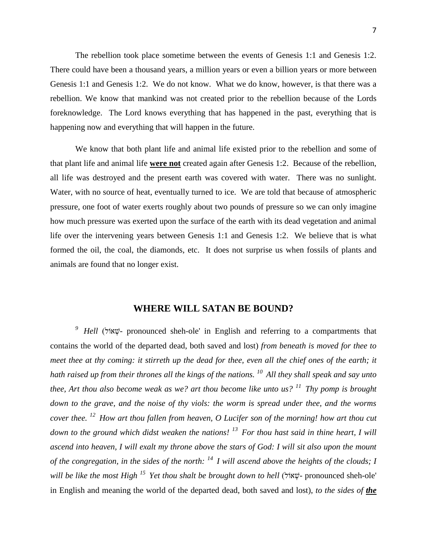The rebellion took place sometime between the events of Genesis 1:1 and Genesis 1:2. There could have been a thousand years, a million years or even a billion years or more between Genesis 1:1 and Genesis 1:2. We do not know. What we do know, however, is that there was a rebellion. We know that mankind was not created prior to the rebellion because of the Lords foreknowledge. The Lord knows everything that has happened in the past, everything that is happening now and everything that will happen in the future.

We know that both plant life and animal life existed prior to the rebellion and some of that plant life and animal life **were not** created again after Genesis 1:2. Because of the rebellion, all life was destroyed and the present earth was covered with water. There was no sunlight. Water, with no source of heat, eventually turned to ice. We are told that because of atmospheric pressure, one foot of water exerts roughly about two pounds of pressure so we can only imagine how much pressure was exerted upon the surface of the earth with its dead vegetation and animal life over the intervening years between Genesis 1:1 and Genesis 1:2. We believe that is what formed the oil, the coal, the diamonds, etc. It does not surprise us when fossils of plants and animals are found that no longer exist.

### **WHERE WILL SATAN BE BOUND?**

<sup>9</sup> Hell (שְׁאוֹל) pronounced sheh-ole' in English and referring to a compartments that contains the world of the departed dead, both saved and lost) *from beneath is moved for thee to meet thee at thy coming: it stirreth up the dead for thee, even all the chief ones of the earth; it hath raised up from their thrones all the kings of the nations. <sup>10</sup>All they shall speak and say unto thee, Art thou also become weak as we? art thou become like unto us? <sup>11</sup>Thy pomp is brought down to the grave, and the noise of thy viols: the worm is spread under thee, and the worms cover thee. <sup>12</sup>How art thou fallen from heaven, O Lucifer son of the morning! how art thou cut down to the ground which didst weaken the nations! <sup>13</sup>For thou hast said in thine heart, I will ascend into heaven, I will exalt my throne above the stars of God: I will sit also upon the mount of the congregation, in the sides of the north: <sup>14</sup>I will ascend above the heights of the clouds; I will be like the most High <sup>15</sup>Yet thou shalt be brought down to hell* ( - pronounced sheh-ole' in English and meaning the world of the departed dead, both saved and lost), *to the sides of the*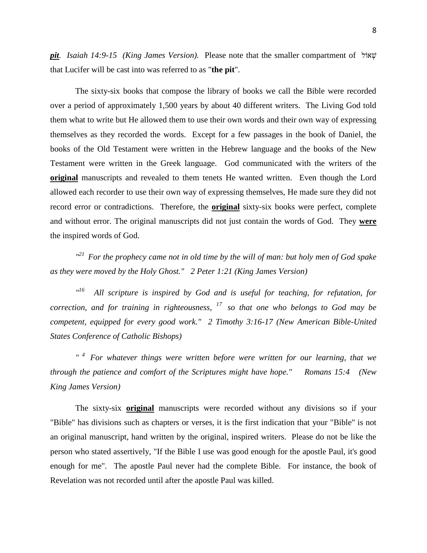*pit.* Isaiah 14:9-15 (King James Version). Please note that the smaller compartment of אוֹשׁאוֹל

The sixty-six books that compose the library of books we call the Bible were recorded over a period of approximately 1,500 years by about 40 different writers. The Living God told them what to write but He allowed them to use their own words and their own way of expressing themselves as they recorded the words. Except for a few passages in the book of Daniel, the books of the Old Testament were written in the Hebrew language and the books of the New Testament were written in the Greek language. God communicated with the writers of the **original** manuscripts and revealed to them tenets He wanted written. Even though the Lord allowed each recorder to use their own way of expressing themselves, He made sure they did not record error or contradictions. Therefore, the **original** sixty-six books were perfect, complete and without error. The original manuscripts did not just contain the words of God. They **were** the inspired words of God.

that Lucifer will be cast into was referred to as "**the pit**".

<sup>121</sup> For the prophecy came not in old time by the will of man: but holy men of God spake *as they were moved by the Holy Ghost." 2 Peter 1:21 (King James Version)* 

*" <sup>16</sup>All scripture is inspired by God and is useful for teaching, for refutation, for correction, and for training in righteousness, <sup>17</sup>so that one who belongs to God may be competent, equipped for every good work." 2 Timothy 3:16-17 (New American Bible-United States Conference of Catholic Bishops)* 

*" <sup>4</sup>For whatever things were written before were written for our learning, that we through the patience and comfort of the Scriptures might have hope." Romans 15:4 (New King James Version)* 

The sixty-six **original** manuscripts were recorded without any divisions so if your "Bible" has divisions such as chapters or verses, it is the first indication that your "Bible" is not an original manuscript, hand written by the original, inspired writers. Please do not be like the person who stated assertively, "If the Bible I use was good enough for the apostle Paul, it's good enough for me". The apostle Paul never had the complete Bible. For instance, the book of Revelation was not recorded until after the apostle Paul was killed.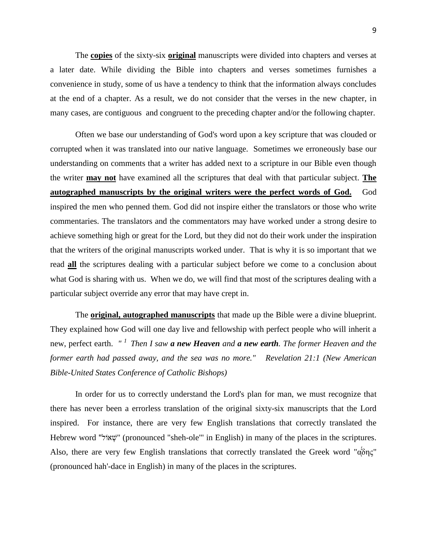The **copies** of the sixty-six **original** manuscripts were divided into chapters and verses at a later date. While dividing the Bible into chapters and verses sometimes furnishes a convenience in study, some of us have a tendency to think that the information always concludes at the end of a chapter. As a result, we do not consider that the verses in the new chapter, in many cases, are contiguous and congruent to the preceding chapter and/or the following chapter.

Often we base our understanding of God's word upon a key scripture that was clouded or corrupted when it was translated into our native language. Sometimes we erroneously base our understanding on comments that a writer has added next to a scripture in our Bible even though the writer **may not** have examined all the scriptures that deal with that particular subject. **The autographed manuscripts by the original writers were the perfect words of God.** God inspired the men who penned them. God did not inspire either the translators or those who write commentaries. The translators and the commentators may have worked under a strong desire to achieve something high or great for the Lord, but they did not do their work under the inspiration that the writers of the original manuscripts worked under. That is why it is so important that we read **all** the scriptures dealing with a particular subject before we come to a conclusion about what God is sharing with us. When we do, we will find that most of the scriptures dealing with a particular subject override any error that may have crept in.

The **original, autographed manuscripts** that made up the Bible were a divine blueprint. They explained how God will one day live and fellowship with perfect people who will inherit a new, perfect earth. *" <sup>1</sup>Then I saw a new Heaven and a new earth. The former Heaven and the former earth had passed away, and the sea was no more." Revelation 21:1 (New American Bible-United States Conference of Catholic Bishops)* 

In order for us to correctly understand the Lord's plan for man, we must recognize that there has never been a errorless translation of the original sixty-six manuscripts that the Lord inspired. For instance, there are very few English translations that correctly translated the Hebrew word "שְׁאוֹל" (pronounced "sheh-ole" in English) in many of the places in the scriptures. Also, there are very few English translations that correctly translated the Greek word " $\alpha \delta \eta \zeta$ " (pronounced hah'-dace in English) in many of the places in the scriptures.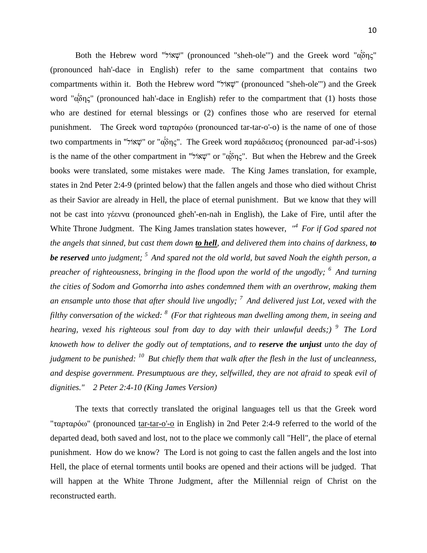Both the Hebrew word "*" (pronounced "sheh-ole")* and the Greek word "αδης" (pronounced hah'-dace in English) refer to the same compartment that contains two compartments within it. Both the Hebrew word " (pronounced "sheh-ole'") and the Greek word "αδης" (pronounced hah'-dace in English) refer to the compartment that (1) hosts those who are destined for eternal blessings or (2) confines those who are reserved for eternal punishment. The Greek word ταρταρόω (pronounced [tar-tar-o'-o\)](http://www.crossbooks.com/book.asp?pub=0&book=58&wave=G5020) is the name of one of those two compartments in "" οπ "αΐδης". The Greek word παράδεισος (pronounced par-ad'-i-sos) is the name of the other compartment in "νικών" or "αδης". But when the Hebrew and the Greek books were translated, some mistakes were made. The King James translation, for example, states in 2nd Peter 2:4-9 (printed below) that the fallen angels and those who died without Christ as their Savior are already in Hell, the place of eternal punishment. But we know that they will not be cast into γέεννα (pronounced gheh'-en-nah in English), the Lake of Fire, until after the White Throne Judgment. The King James translation states however, *" <sup>4</sup>For if God spared not the angels that sinned, but cast them down to hell, and delivered them into chains of darkness, to be reserved unto judgment; <sup>5</sup>And spared not the old world, but saved Noah the eighth person, a preacher of righteousness, bringing in the flood upon the world of the ungodly; <sup>6</sup>And turning the cities of Sodom and Gomorrha into ashes condemned them with an overthrow, making them an ensample unto those that after should live ungodly; <sup>7</sup>And delivered just Lot, vexed with the filthy conversation of the wicked: <sup>8</sup>(For that righteous man dwelling among them, in seeing and hearing, vexed his righteous soul from day to day with their unlawful deeds;) <sup>9</sup>The Lord knoweth how to deliver the godly out of temptations, and to reserve the unjust unto the day of judgment to be punished: <sup>10</sup>But chiefly them that walk after the flesh in the lust of uncleanness, and despise government. Presumptuous are they, selfwilled, they are not afraid to speak evil of dignities." 2 Peter 2:4-10 (King James Version)* 

The texts that correctly translated the original languages tell us that the Greek word "ταρταρόω" (pronounced [tar-tar-o'-o](http://www.crossbooks.com/book.asp?pub=0&book=58&wave=G5020) in English) in 2nd Peter 2:4-9 referred to the world of the departed dead, both saved and lost, not to the place we commonly call "Hell", the place of eternal punishment. How do we know? The Lord is not going to cast the fallen angels and the lost into Hell, the place of eternal torments until books are opened and their actions will be judged. That will happen at the White Throne Judgment, after the Millennial reign of Christ on the reconstructed earth.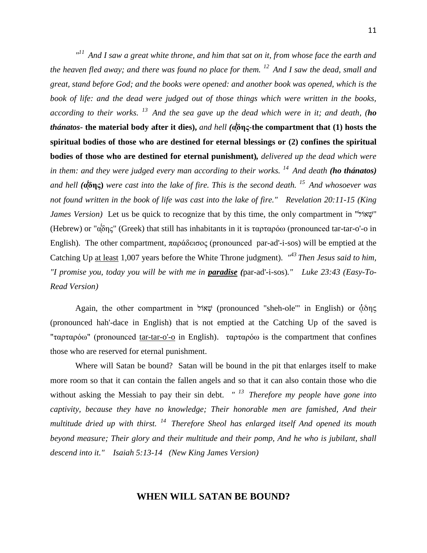*" <sup>11</sup>And I saw a great white throne, and him that sat on it, from whose face the earth and the heaven fled away; and there was found no place for them. <sup>12</sup>And I saw the dead, small and great, stand before God; and the books were opened: and another book was opened, which is the book of life: and the dead were judged out of those things which were written in the books, according to their works. <sup>13</sup>And the sea gave up the dead which were in it; and death, (ho thánatos-* **the material body after it dies),** *and hell (**-***the compartment that (1) hosts the spiritual bodies of those who are destined for eternal blessings or (2) confines the spiritual bodies of those who are destined for eternal punishment)***, delivered up the dead which were in them: and they were judged every man according to their works. <sup>14</sup>And death (ho thánatos) and hell* ( $\alpha$  $\delta$ **ης**) were cast into the lake of fire. This is the second death. <sup>15</sup> And whosoever was *not found written in the book of life was cast into the lake of fire." Revelation 20:11-15 (King James Version)* Let us be quick to recognize that by this time, the only compartment in " (Hebrew) or " $\alpha$ 'δης" (Greek) that still has inhabitants in it is ταρταρόω (pronounced [tar-tar-o'-o](http://www.crossbooks.com/book.asp?pub=0&book=58&wave=G5020) in English). The other compartment,  $\pi \alpha \rho \dot{\alpha} \delta \epsilon \rho \sigma \dot{\alpha}$  (pronounced par-ad'-i-sos) will be emptied at the Catching Up at least 1,007 years before the White Throne judgment). *" <sup>43</sup>Then Jesus said to him, "I promise you, today you will be with me in paradise (*par-ad'-i-sos)*." Luke 23:43 (Easy-To-Read Version)*

Again, the other compartment in שְׁאוֹל (pronounced "sheh-ole" in English) or  $\dot{\varphi}$ וֹק (pronounced hah'-dace in English) that is not emptied at the Catching Up of the saved is "ταρταρόω" (pronounced [tar-tar-o'-o](http://www.crossbooks.com/book.asp?pub=0&book=58&wave=G5020) in English). ταρταρόω is the compartment that confines those who are reserved for eternal punishment.

Where will Satan be bound? Satan will be bound in the pit that enlarges itself to make more room so that it can contain the fallen angels and so that it can also contain those who die without asking the Messiah to pay their sin debt. *" <sup>13</sup>Therefore my people have gone into captivity, because they have no knowledge; Their honorable men are famished, And their multitude dried up with thirst. <sup>14</sup>Therefore Sheol has enlarged itself And opened its mouth beyond measure; Their glory and their multitude and their pomp, And he who is jubilant, shall descend into it." Isaiah 5:13-14 (New King James Version)*

### **WHEN WILL SATAN BE BOUND?**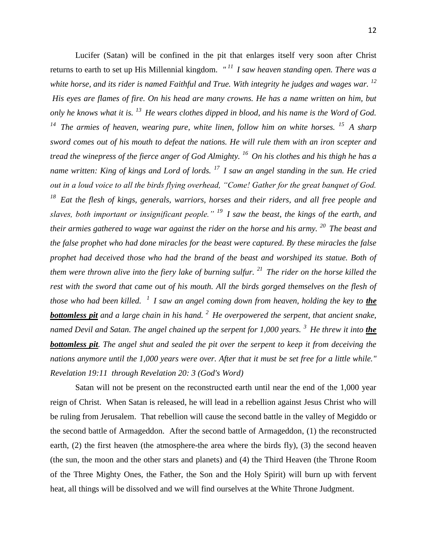Lucifer (Satan) will be confined in the pit that enlarges itself very soon after Christ returns to earth to set up His Millennial kingdom. *" <sup>11</sup>I saw heaven standing open. There was a*  white horse, and its rider is named Faithful and True. With integrity he judges and wages war. <sup>12</sup> *His eyes are flames of fire. On his head are many crowns. He has a name written on him, but only he knows what it is. <sup>13</sup>He wears clothes dipped in blood, and his name is the Word of God. <sup>14</sup>The armies of heaven, wearing pure, white linen, follow him on white horses. <sup>15</sup>A sharp sword comes out of his mouth to defeat the nations. He will rule them with an iron scepter and tread the winepress of the fierce anger of God Almighty. <sup>16</sup>On his clothes and his thigh he has a name written: King of kings and Lord of lords. <sup>17</sup>I saw an angel standing in the sun. He cried out in a loud voice to all the birds flying overhead, "Come! Gather for the great banquet of God. <sup>18</sup>Eat the flesh of kings, generals, warriors, horses and their riders, and all free people and slaves, both important or insignificant people." <sup>19</sup>I saw the beast, the kings of the earth, and their armies gathered to wage war against the rider on the horse and his army. <sup>20</sup>The beast and the false prophet who had done miracles for the beast were captured. By these miracles the false prophet had deceived those who had the brand of the beast and worshiped its statue. Both of them were thrown alive into the fiery lake of burning sulfur. <sup>21</sup>The rider on the horse killed the rest with the sword that came out of his mouth. All the birds gorged themselves on the flesh of those who had been killed. <sup>1</sup>I saw an angel coming down from heaven, holding the key to the bottomless pit and a large chain in his hand. <sup>2</sup>He overpowered the serpent, that ancient snake, named Devil and Satan. The angel chained up the serpent for 1,000 years. <sup>3</sup>He threw it into the bottomless pit. The angel shut and sealed the pit over the serpent to keep it from deceiving the nations anymore until the 1,000 years were over. After that it must be set free for a little while." Revelation 19:11 through Revelation 20: 3 (God's Word)*

Satan will not be present on the reconstructed earth until near the end of the 1,000 year reign of Christ. When Satan is released, he will lead in a rebellion against Jesus Christ who will be ruling from Jerusalem. That rebellion will cause the second battle in the valley of Megiddo or the second battle of Armageddon. After the second battle of Armageddon, (1) the reconstructed earth, (2) the first heaven (the atmosphere-the area where the birds fly), (3) the second heaven (the sun, the moon and the other stars and planets) and (4) the Third Heaven (the Throne Room of the Three Mighty Ones, the Father, the Son and the Holy Spirit) will burn up with fervent heat, all things will be dissolved and we will find ourselves at the White Throne Judgment.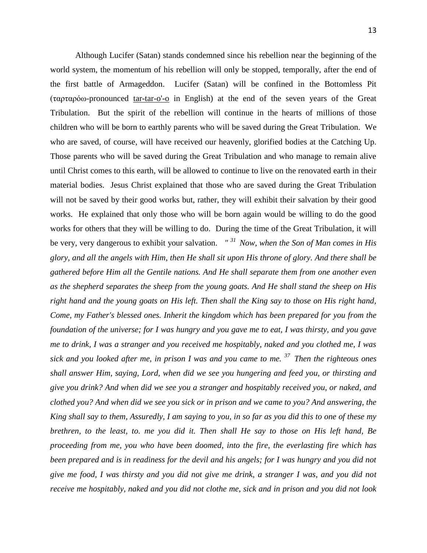Although Lucifer (Satan) stands condemned since his rebellion near the beginning of the world system, the momentum of his rebellion will only be stopped, temporally, after the end of the first battle of Armageddon. Lucifer (Satan) will be confined in the Bottomless Pit (ταρταρόω-pronounced [tar-tar-o'-o](http://www.crossbooks.com/book.asp?pub=0&book=58&wave=G5020) in English) at the end of the seven years of the Great Tribulation. But the spirit of the rebellion will continue in the hearts of millions of those children who will be born to earthly parents who will be saved during the Great Tribulation. We who are saved, of course, will have received our heavenly, glorified bodies at the Catching Up. Those parents who will be saved during the Great Tribulation and who manage to remain alive until Christ comes to this earth, will be allowed to continue to live on the renovated earth in their material bodies. Jesus Christ explained that those who are saved during the Great Tribulation will not be saved by their good works but, rather, they will exhibit their salvation by their good works. He explained that only those who will be born again would be willing to do the good works for others that they will be willing to do. During the time of the Great Tribulation, it will be very, very dangerous to exhibit your salvation. *" <sup>31</sup>Now, when the Son of Man comes in His glory, and all the angels with Him, then He shall sit upon His throne of glory. And there shall be gathered before Him all the Gentile nations. And He shall separate them from one another even as the shepherd separates the sheep from the young goats. And He shall stand the sheep on His right hand and the young goats on His left. Then shall the King say to those on His right hand, Come, my Father's blessed ones. Inherit the kingdom which has been prepared for you from the foundation of the universe; for I was hungry and you gave me to eat, I was thirsty, and you gave me to drink, I was a stranger and you received me hospitably, naked and you clothed me, I was sick and you looked after me, in prison I was and you came to me. <sup>37</sup>Then the righteous ones shall answer Him, saying, Lord, when did we see you hungering and feed you, or thirsting and give you drink? And when did we see you a stranger and hospitably received you, or naked, and clothed you? And when did we see you sick or in prison and we came to you? And answering, the King shall say to them, Assuredly, I am saying to you, in so far as you did this to one of these my brethren, to the least, to. me you did it. Then shall He say to those on His left hand, Be proceeding from me, you who have been doomed, into the fire, the everlasting fire which has been prepared and is in readiness for the devil and his angels; for I was hungry and you did not give me food, I was thirsty and you did not give me drink, a stranger I was, and you did not receive me hospitably, naked and you did not clothe me, sick and in prison and you did not look*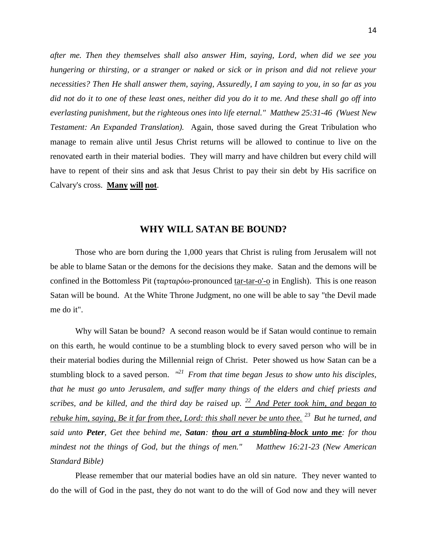*after me. Then they themselves shall also answer Him, saying, Lord, when did we see you hungering or thirsting, or a stranger or naked or sick or in prison and did not relieve your necessities? Then He shall answer them, saying, Assuredly, I am saying to you, in so far as you did not do it to one of these least ones, neither did you do it to me. And these shall go off into everlasting punishment, but the righteous ones into life eternal." Matthew 25:31-46 (Wuest New Testament: An Expanded Translation).* Again, those saved during the Great Tribulation who manage to remain alive until Jesus Christ returns will be allowed to continue to live on the renovated earth in their material bodies. They will marry and have children but every child will have to repent of their sins and ask that Jesus Christ to pay their sin debt by His sacrifice on Calvary's cross. **Many will not**.

#### **WHY WILL SATAN BE BOUND?**

Those who are born during the 1,000 years that Christ is ruling from Jerusalem will not be able to blame Satan or the demons for the decisions they make. Satan and the demons will be confined in the Bottomless Pit (ταρταρόω-pronounced [tar-tar-o'-o](http://www.crossbooks.com/book.asp?pub=0&book=58&wave=G5020) in English). This is one reason Satan will be bound. At the White Throne Judgment, no one will be able to say "the Devil made me do it".

Why will Satan be bound? A second reason would be if Satan would continue to remain on this earth, he would continue to be a stumbling block to every saved person who will be in their material bodies during the Millennial reign of Christ. Peter showed us how Satan can be a stumbling block to a saved person. "<sup>21</sup> *From that time began Jesus to show unto his disciples, that he must go unto Jerusalem, and suffer many things of the elders and chief priests and scribes, and be killed, and the third day be raised up. <sup>22</sup>And Peter took him, and began to rebuke him, saying, Be it far from thee, Lord: this shall never be unto thee. <sup>23</sup>But he turned, and said unto Peter, Get thee behind me, Satan: thou art a stumbling-block unto me: for thou mindest not the things of God, but the things of men." Matthew 16:21-23 (New American Standard Bible)*

Please remember that our material bodies have an old sin nature. They never wanted to do the will of God in the past, they do not want to do the will of God now and they will never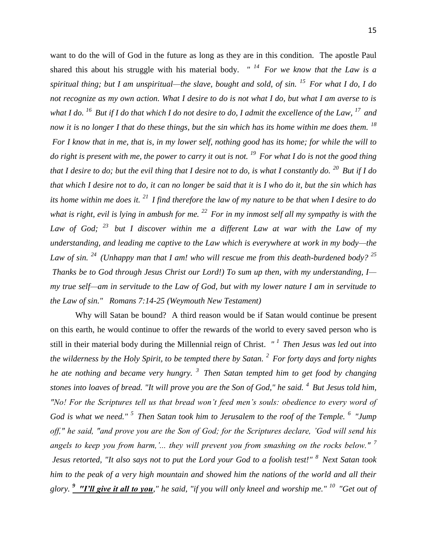want to do the will of God in the future as long as they are in this condition. The apostle Paul shared this about his struggle with his material body. *" <sup>14</sup>For we know that the Law is a spiritual thing; but I am unspiritual—the slave, bought and sold, of sin. <sup>15</sup>For what I do, I do not recognize as my own action. What I desire to do is not what I do, but what I am averse to is what I do. <sup>16</sup>But if I do that which I do not desire to do, I admit the excellence of the Law, <sup>17</sup>and now it is no longer I that do these things, but the sin which has its home within me does them. <sup>18</sup>*

*For I know that in me, that is, in my lower self, nothing good has its home; for while the will to do right is present with me, the power to carry it out is not. <sup>19</sup>For what I do is not the good thing that I desire to do; but the evil thing that I desire not to do, is what I constantly do. <sup>20</sup>But if I do that which I desire not to do, it can no longer be said that it is I who do it, but the sin which has its home within me does it. <sup>21</sup>I find therefore the law of my nature to be that when I desire to do what is right, evil is lying in ambush for me. <sup>22</sup>For in my inmost self all my sympathy is with the Law of God; <sup>23</sup>but I discover within me a different Law at war with the Law of my understanding, and leading me captive to the Law which is everywhere at work in my body—the Law of sin. <sup>24</sup>(Unhappy man that I am! who will rescue me from this death-burdened body? <sup>25</sup> Thanks be to God through Jesus Christ our Lord!) To sum up then, with my understanding, I my true self—am in servitude to the Law of God, but with my lower nature I am in servitude to the Law of sin." Romans 7:14-25 (Weymouth New Testament)*

Why will Satan be bound? A third reason would be if Satan would continue be present on this earth, he would continue to offer the rewards of the world to every saved person who is still in their material body during the Millennial reign of Christ. *" <sup>1</sup>Then Jesus was led out into the wilderness by the Holy Spirit, to be tempted there by Satan. <sup>2</sup>For forty days and forty nights he ate nothing and became very hungry. <sup>3</sup>Then Satan tempted him to get food by changing stones into loaves of bread. "It will prove you are the Son of God," he said. <sup>4</sup>But Jesus told him, "No! For the Scriptures tell us that bread won't feed men's souls: obedience to every word of God is what we need." <sup>5</sup>Then Satan took him to Jerusalem to the roof of the Temple. <sup>6</sup>"Jump off," he said, "and prove you are the Son of God; for the Scriptures declare, 'God will send his angels to keep you from harm,'... they will prevent you from smashing on the rocks below." <sup>7</sup> Jesus retorted, "It also says not to put the Lord your God to a foolish test!" <sup>8</sup>Next Satan took him to the peak of a very high mountain and showed him the nations of the world and all their glory. <sup>9</sup>"I'll give it all to you," he said, "if you will only kneel and worship me." <sup>10</sup> "Get out of*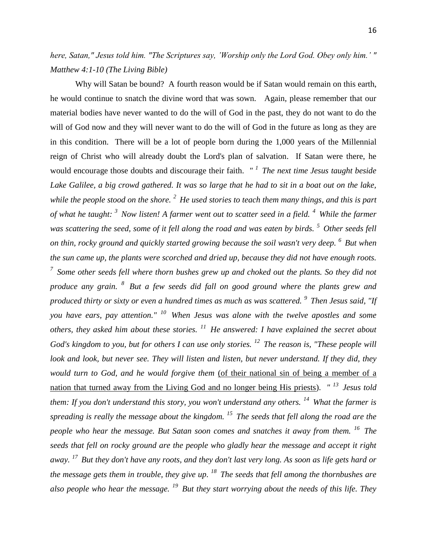*here, Satan," Jesus told him. "The Scriptures say, 'Worship only the Lord God. Obey only him.' " Matthew 4:1-10 (The Living Bible)*

Why will Satan be bound? A fourth reason would be if Satan would remain on this earth, he would continue to snatch the divine word that was sown. Again, please remember that our material bodies have never wanted to do the will of God in the past, they do not want to do the will of God now and they will never want to do the will of God in the future as long as they are in this condition. There will be a lot of people born during the 1,000 years of the Millennial reign of Christ who will already doubt the Lord's plan of salvation. If Satan were there, he would encourage those doubts and discourage their faith. *" <sup>1</sup>The next time Jesus taught beside Lake Galilee, a big crowd gathered. It was so large that he had to sit in a boat out on the lake, while the people stood on the shore. <sup>2</sup>He used stories to teach them many things, and this is part of what he taught: <sup>3</sup>Now listen! A farmer went out to scatter seed in a field. <sup>4</sup>While the farmer was scattering the seed, some of it fell along the road and was eaten by birds. <sup>5</sup>Other seeds fell on thin, rocky ground and quickly started growing because the soil wasn't very deep. <sup>6</sup>But when the sun came up, the plants were scorched and dried up, because they did not have enough roots. <sup>7</sup>Some other seeds fell where thorn bushes grew up and choked out the plants. So they did not produce any grain. <sup>8</sup>But a few seeds did fall on good ground where the plants grew and produced thirty or sixty or even a hundred times as much as was scattered. <sup>9</sup>Then Jesus said, "If you have ears, pay attention." <sup>10</sup>When Jesus was alone with the twelve apostles and some others, they asked him about these stories. <sup>11</sup>He answered: I have explained the secret about God's kingdom to you, but for others I can use only stories. <sup>12</sup>The reason is, "These people will look and look, but never see. They will listen and listen, but never understand. If they did, they would turn to God, and he would forgive them* (of their national sin of being a member of a nation that turned away from the Living God and no longer being His priests). *" <sup>13</sup>Jesus told them: If you don't understand this story, you won't understand any others. <sup>14</sup>What the farmer is spreading is really the message about the kingdom. <sup>15</sup>The seeds that fell along the road are the people who hear the message. But Satan soon comes and snatches it away from them. <sup>16</sup>The seeds that fell on rocky ground are the people who gladly hear the message and accept it right away. <sup>17</sup>But they don't have any roots, and they don't last very long. As soon as life gets hard or the message gets them in trouble, they give up. <sup>18</sup>The seeds that fell among the thornbushes are also people who hear the message. <sup>19</sup>But they start worrying about the needs of this life. They*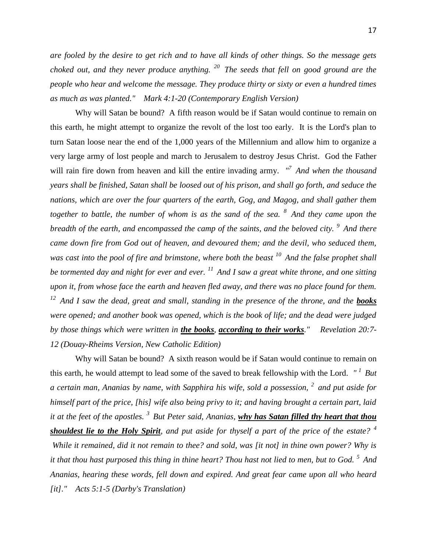*are fooled by the desire to get rich and to have all kinds of other things. So the message gets choked out, and they never produce anything. <sup>20</sup>The seeds that fell on good ground are the people who hear and welcome the message. They produce thirty or sixty or even a hundred times as much as was planted." Mark 4:1-20 (Contemporary English Version)*

Why will Satan be bound? A fifth reason would be if Satan would continue to remain on this earth, he might attempt to organize the revolt of the lost too early. It is the Lord's plan to turn Satan loose near the end of the 1,000 years of the Millennium and allow him to organize a very large army of lost people and march to Jerusalem to destroy Jesus Christ. God the Father will rain fire down from heaven and kill the entire invading army. "<sup>7</sup> And when the thousand *years shall be finished, Satan shall be loosed out of his prison, and shall go forth, and seduce the nations, which are over the four quarters of the earth, Gog, and Magog, and shall gather them together to battle, the number of whom is as the sand of the sea. <sup>8</sup>And they came upon the breadth of the earth, and encompassed the camp of the saints, and the beloved city. <sup>9</sup>And there came down fire from God out of heaven, and devoured them; and the devil, who seduced them, was cast into the pool of fire and brimstone, where both the beast <sup>10</sup>And the false prophet shall be tormented day and night for ever and ever. <sup>11</sup>And I saw a great white throne, and one sitting upon it, from whose face the earth and heaven fled away, and there was no place found for them.*  <sup>12</sup> And I saw the dead, great and small, standing in the presence of the throne, and the **books** *were opened; and another book was opened, which is the book of life; and the dead were judged by those things which were written in the books, according to their works." Revelation 20:7- 12 (Douay-Rheims Version, New Catholic Edition)*

Why will Satan be bound? A sixth reason would be if Satan would continue to remain on this earth, he would attempt to lead some of the saved to break fellowship with the Lord. *" <sup>1</sup>But a certain man, Ananias by name, with Sapphira his wife, sold a possession, <sup>2</sup>and put aside for himself part of the price, [his] wife also being privy to it; and having brought a certain part, laid it at the feet of the apostles. <sup>3</sup>But Peter said, Ananias, why has Satan filled thy heart that thou shouldest lie to the Holy Spirit, and put aside for thyself a part of the price of the estate? <sup>4</sup> While it remained, did it not remain to thee? and sold, was [it not] in thine own power? Why is it that thou hast purposed this thing in thine heart? Thou hast not lied to men, but to God. <sup>5</sup>And Ananias, hearing these words, fell down and expired. And great fear came upon all who heard [it]." Acts 5:1-5 (Darby's Translation)*